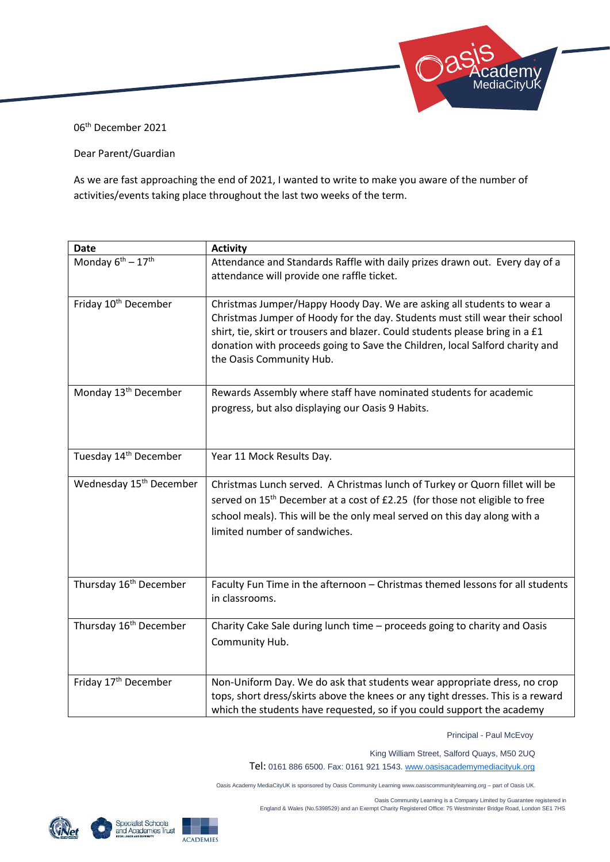

06th December 2021

## Dear Parent/Guardian

As we are fast approaching the end of 2021, I wanted to write to make you aware of the number of activities/events taking place throughout the last two weeks of the term.

| <b>Date</b>                         | <b>Activity</b>                                                                                                                                                                                                                                                                                                                                     |
|-------------------------------------|-----------------------------------------------------------------------------------------------------------------------------------------------------------------------------------------------------------------------------------------------------------------------------------------------------------------------------------------------------|
| Monday $6^{th} - 17^{th}$           | Attendance and Standards Raffle with daily prizes drawn out. Every day of a<br>attendance will provide one raffle ticket.                                                                                                                                                                                                                           |
| Friday 10 <sup>th</sup> December    | Christmas Jumper/Happy Hoody Day. We are asking all students to wear a<br>Christmas Jumper of Hoody for the day. Students must still wear their school<br>shirt, tie, skirt or trousers and blazer. Could students please bring in a £1<br>donation with proceeds going to Save the Children, local Salford charity and<br>the Oasis Community Hub. |
| Monday 13 <sup>th</sup> December    | Rewards Assembly where staff have nominated students for academic<br>progress, but also displaying our Oasis 9 Habits.                                                                                                                                                                                                                              |
| Tuesday 14 <sup>th</sup> December   | Year 11 Mock Results Day.                                                                                                                                                                                                                                                                                                                           |
| Wednesday 15 <sup>th</sup> December | Christmas Lunch served. A Christmas lunch of Turkey or Quorn fillet will be<br>served on 15 <sup>th</sup> December at a cost of £2.25 (for those not eligible to free<br>school meals). This will be the only meal served on this day along with a<br>limited number of sandwiches.                                                                 |
| Thursday 16 <sup>th</sup> December  | Faculty Fun Time in the afternoon - Christmas themed lessons for all students<br>in classrooms.                                                                                                                                                                                                                                                     |
| Thursday 16 <sup>th</sup> December  | Charity Cake Sale during lunch time - proceeds going to charity and Oasis<br>Community Hub.                                                                                                                                                                                                                                                         |
| Friday 17 <sup>th</sup> December    | Non-Uniform Day. We do ask that students wear appropriate dress, no crop<br>tops, short dress/skirts above the knees or any tight dresses. This is a reward<br>which the students have requested, so if you could support the academy                                                                                                               |

Principal - Paul McEvoy

King William Street, Salford Quays, M50 2UQ

Tel: 0161 886 6500. Fax: 0161 921 1543[. www.oasisacademymediacityuk.org](http://www.oasisacademymediacityuk.org/)

Oasis Academy MediaCityUK is sponsored by Oasis Community Learning www.oasiscommunitylearning.org – part of Oasis UK.

 Oasis Community Learning is a Company Limited by Guarantee registered in England & Wales (No.5398529) and an Exempt Charity Registered Office: 75 Westminster Bridge Road, London SE1 7HS